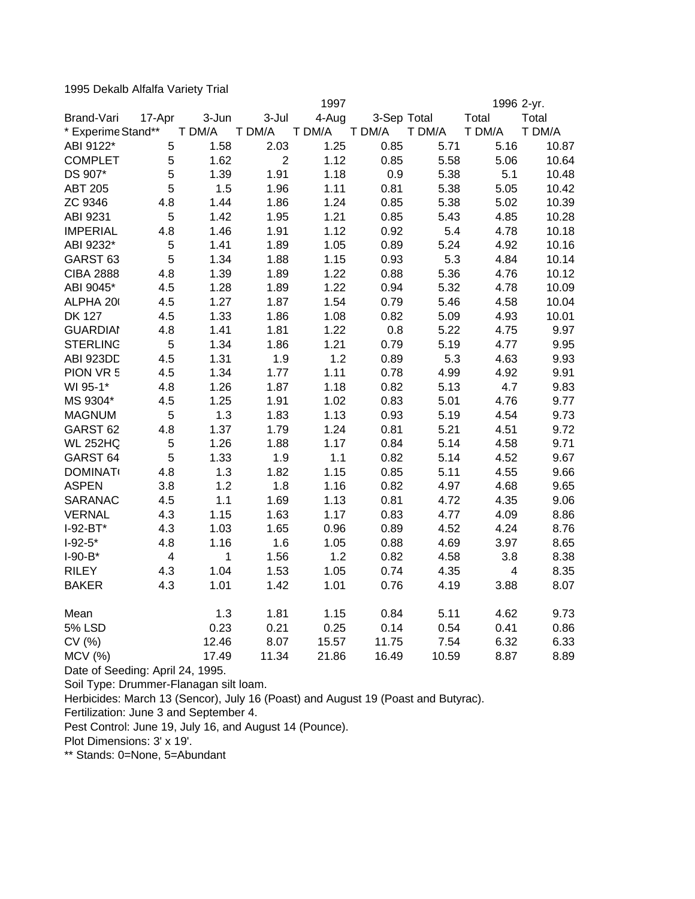1995 Dekalb Alfalfa Variety Trial

|                     |                         |        | 1997           |        |             | 1996 2-yr. |                         |        |
|---------------------|-------------------------|--------|----------------|--------|-------------|------------|-------------------------|--------|
| Brand-Vari          | 17-Apr                  | 3-Jun  | 3-Jul          | 4-Aug  | 3-Sep Total |            | Total                   | Total  |
| * Experime Stand**  |                         | T DM/A | T DM/A         | T DM/A | T DM/A      | T DM/A     | T DM/A                  | T DM/A |
| ABI 9122*           | 5                       | 1.58   | 2.03           | 1.25   | 0.85        | 5.71       | 5.16                    | 10.87  |
| <b>COMPLET</b>      | 5                       | 1.62   | $\overline{2}$ | 1.12   | 0.85        | 5.58       | 5.06                    | 10.64  |
| DS 907*             | 5                       | 1.39   | 1.91           | 1.18   | 0.9         | 5.38       | 5.1                     | 10.48  |
| <b>ABT 205</b>      | 5                       | 1.5    | 1.96           | 1.11   | 0.81        | 5.38       | 5.05                    | 10.42  |
| ZC 9346             | 4.8                     | 1.44   | 1.86           | 1.24   | 0.85        | 5.38       | 5.02                    | 10.39  |
| ABI 9231            | 5                       | 1.42   | 1.95           | 1.21   | 0.85        | 5.43       | 4.85                    | 10.28  |
| <b>IMPERIAL</b>     | 4.8                     | 1.46   | 1.91           | 1.12   | 0.92        | 5.4        | 4.78                    | 10.18  |
| ABI 9232*           | 5                       | 1.41   | 1.89           | 1.05   | 0.89        | 5.24       | 4.92                    | 10.16  |
| GARST <sub>63</sub> | 5                       | 1.34   | 1.88           | 1.15   | 0.93        | 5.3        | 4.84                    | 10.14  |
| <b>CIBA 2888</b>    | 4.8                     | 1.39   | 1.89           | 1.22   | 0.88        | 5.36       | 4.76                    | 10.12  |
| ABI 9045*           | 4.5                     | 1.28   | 1.89           | 1.22   | 0.94        | 5.32       | 4.78                    | 10.09  |
| ALPHA 20            | 4.5                     | 1.27   | 1.87           | 1.54   | 0.79        | 5.46       | 4.58                    | 10.04  |
| <b>DK 127</b>       | 4.5                     | 1.33   | 1.86           | 1.08   | 0.82        | 5.09       | 4.93                    | 10.01  |
| <b>GUARDIAI</b>     | 4.8                     | 1.41   | 1.81           | 1.22   | 0.8         | 5.22       | 4.75                    | 9.97   |
| <b>STERLING</b>     | 5                       | 1.34   | 1.86           | 1.21   | 0.79        | 5.19       | 4.77                    | 9.95   |
| ABI 923DD           | 4.5                     | 1.31   | 1.9            | 1.2    | 0.89        | 5.3        | 4.63                    | 9.93   |
| PION VR 5           | 4.5                     | 1.34   | 1.77           | 1.11   | 0.78        | 4.99       | 4.92                    | 9.91   |
| WI 95-1*            | 4.8                     | 1.26   | 1.87           | 1.18   | 0.82        | 5.13       | 4.7                     | 9.83   |
| MS 9304*            | 4.5                     | 1.25   | 1.91           | 1.02   | 0.83        | 5.01       | 4.76                    | 9.77   |
| <b>MAGNUM</b>       | 5                       | 1.3    | 1.83           | 1.13   | 0.93        | 5.19       | 4.54                    | 9.73   |
| GARST <sub>62</sub> | 4.8                     | 1.37   | 1.79           | 1.24   | 0.81        | 5.21       | 4.51                    | 9.72   |
| <b>WL 252HQ</b>     | 5                       | 1.26   | 1.88           | 1.17   | 0.84        | 5.14       | 4.58                    | 9.71   |
| GARST <sub>64</sub> | 5                       | 1.33   | 1.9            | 1.1    | 0.82        | 5.14       | 4.52                    | 9.67   |
| <b>DOMINAT</b>      | 4.8                     | 1.3    | 1.82           | 1.15   | 0.85        | 5.11       | 4.55                    | 9.66   |
| <b>ASPEN</b>        | 3.8                     | 1.2    | 1.8            | 1.16   | 0.82        | 4.97       | 4.68                    | 9.65   |
| <b>SARANAC</b>      | 4.5                     | 1.1    | 1.69           | 1.13   | 0.81        | 4.72       | 4.35                    | 9.06   |
| <b>VERNAL</b>       | 4.3                     | 1.15   | 1.63           | 1.17   | 0.83        | 4.77       | 4.09                    | 8.86   |
| $I-92-BT*$          | 4.3                     | 1.03   | 1.65           | 0.96   | 0.89        | 4.52       | 4.24                    | 8.76   |
| $I-92-5*$           | 4.8                     | 1.16   | 1.6            | 1.05   | 0.88        | 4.69       | 3.97                    | 8.65   |
| $I-90-B*$           | $\overline{\mathbf{4}}$ | 1      | 1.56           | 1.2    | 0.82        | 4.58       | 3.8                     | 8.38   |
| <b>RILEY</b>        | 4.3                     | 1.04   | 1.53           | 1.05   | 0.74        | 4.35       | $\overline{\mathbf{4}}$ | 8.35   |
| <b>BAKER</b>        | 4.3                     | 1.01   | 1.42           | 1.01   | 0.76        | 4.19       | 3.88                    | 8.07   |
| Mean                |                         | 1.3    | 1.81           | 1.15   | 0.84        | 5.11       | 4.62                    | 9.73   |
| <b>5% LSD</b>       |                         | 0.23   | 0.21           | 0.25   | 0.14        | 0.54       | 0.41                    | 0.86   |
| CV (%)              |                         | 12.46  | 8.07           | 15.57  | 11.75       | 7.54       | 6.32                    | 6.33   |
| <b>MCV</b> (%)      |                         | 17.49  | 11.34          | 21.86  | 16.49       | 10.59      | 8.87                    | 8.89   |

Date of Seeding: April 24, 1995.

Soil Type: Drummer-Flanagan silt loam.

Herbicides: March 13 (Sencor), July 16 (Poast) and August 19 (Poast and Butyrac).

Fertilization: June 3 and September 4.

Pest Control: June 19, July 16, and August 14 (Pounce).

Plot Dimensions: 3' x 19'.

\*\* Stands: 0=None, 5=Abundant